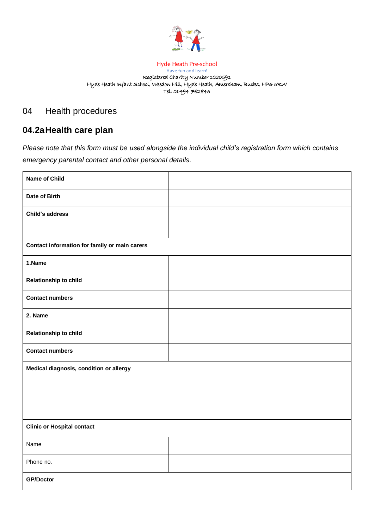

#### Hyde Heath Pre-school Have fun and learn! Registered Charity Number 1020591 Hyde Heath Infant School, Weedon Hill, Hyde Heath, Amersham, Bucks, HP6 5RW Tel: 01494 782845

# 04 Health procedures

# **04.2aHealth care plan**

*Please note that this form must be used alongside the individual child's registration form which contains emergency parental contact and other personal details.*

| <b>Name of Child</b>                          |  |  |
|-----------------------------------------------|--|--|
| Date of Birth                                 |  |  |
| Child's address                               |  |  |
|                                               |  |  |
| Contact information for family or main carers |  |  |
| 1.Name                                        |  |  |
| Relationship to child                         |  |  |
| <b>Contact numbers</b>                        |  |  |
| 2. Name                                       |  |  |
| Relationship to child                         |  |  |
| <b>Contact numbers</b>                        |  |  |
| Medical diagnosis, condition or allergy       |  |  |
|                                               |  |  |
|                                               |  |  |
|                                               |  |  |
| <b>Clinic or Hospital contact</b>             |  |  |
| Name                                          |  |  |
| Phone no.                                     |  |  |
| <b>GP/Doctor</b>                              |  |  |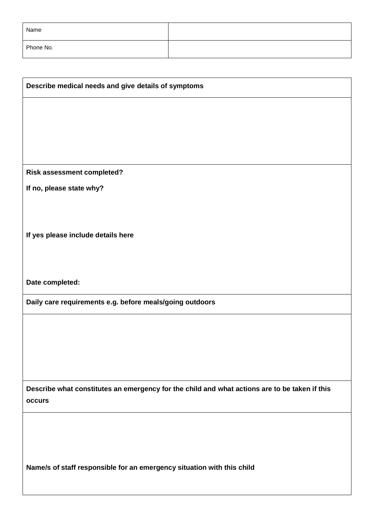| Name      |  |
|-----------|--|
| Phone No. |  |

| Describe medical needs and give details of symptoms                                                     |  |
|---------------------------------------------------------------------------------------------------------|--|
|                                                                                                         |  |
|                                                                                                         |  |
|                                                                                                         |  |
|                                                                                                         |  |
| <b>Risk assessment completed?</b>                                                                       |  |
| If no, please state why?                                                                                |  |
|                                                                                                         |  |
|                                                                                                         |  |
| If yes please include details here                                                                      |  |
|                                                                                                         |  |
| Date completed:                                                                                         |  |
| Daily care requirements e.g. before meals/going outdoors                                                |  |
|                                                                                                         |  |
|                                                                                                         |  |
|                                                                                                         |  |
|                                                                                                         |  |
|                                                                                                         |  |
| Describe what constitutes an emergency for the child and what actions are to be taken if this<br>occurs |  |
|                                                                                                         |  |
|                                                                                                         |  |
|                                                                                                         |  |
|                                                                                                         |  |
| Name/s of staff responsible for an emergency situation with this child                                  |  |
|                                                                                                         |  |